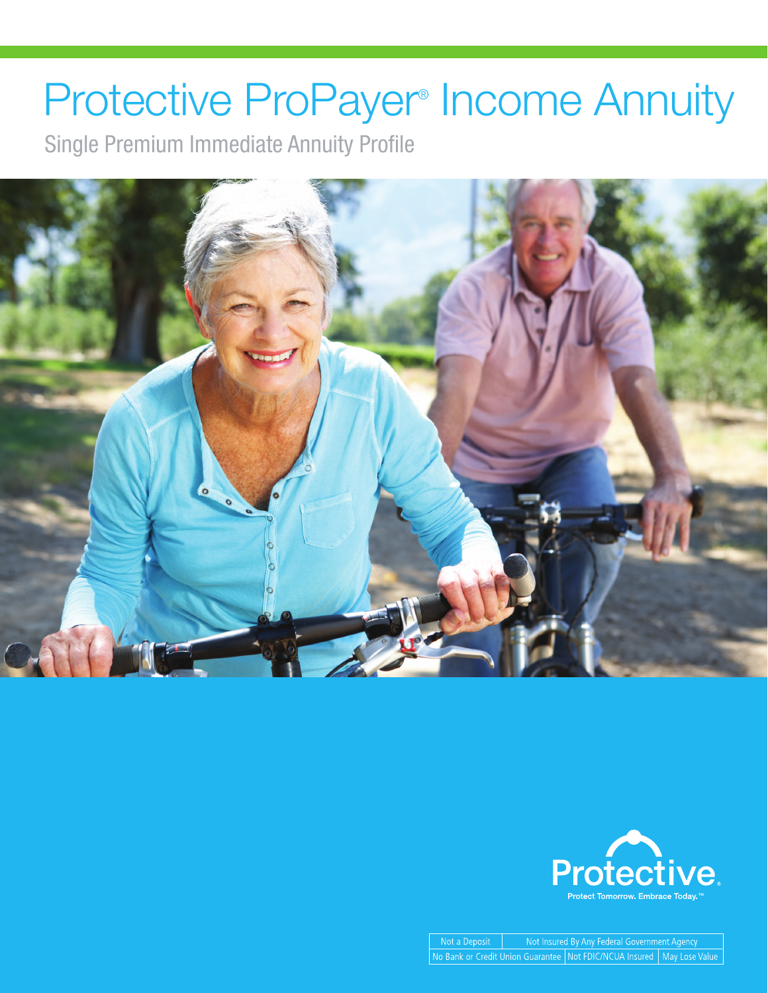## Protective ProPayer<sup>®</sup> Income Annuity

Single Premium Immediate Annuity Profile





Not a Deposit Not Insured By Any Federal Government Agency No Bank or Credit Union Guarantee Not FDIC/NCUA Insured | May Lose Value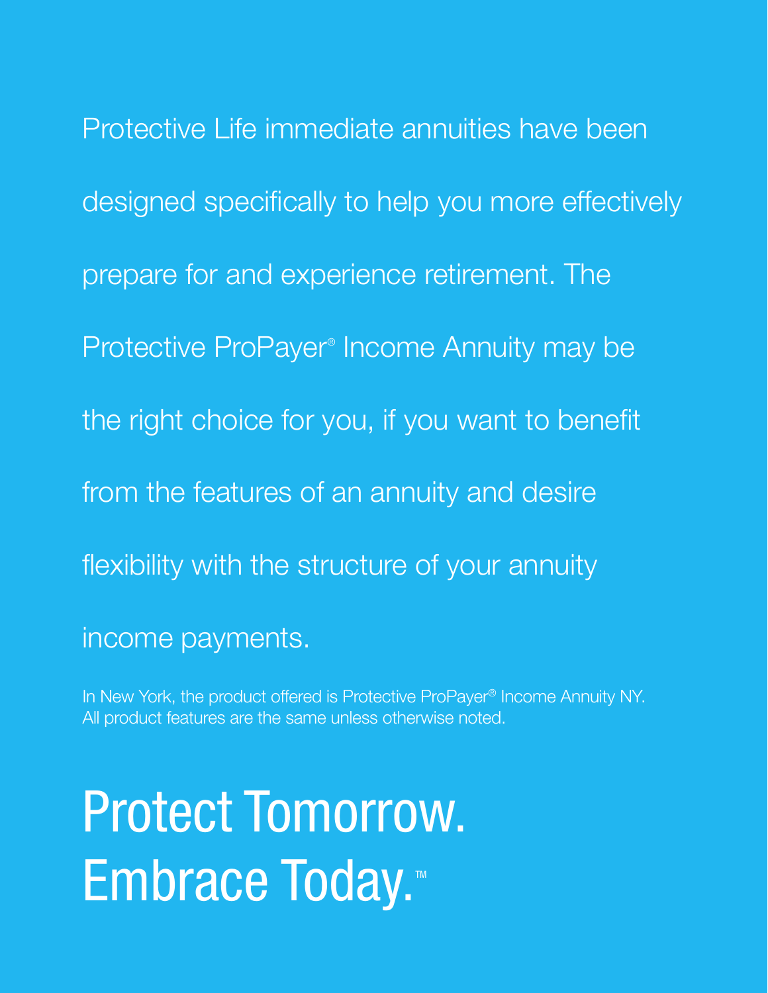Protective Life immediate annuities have been designed specifically to help you more effectively prepare for and experience retirement. The Protective ProPayer<sup>®</sup> Income Annuity may be the right choice for you, if you want to benefit from the features of an annuity and desire flexibility with the structure of your annuity income payments.

In New York, the product offered is Protective ProPayer® Income Annuity NY. All product features are the same unless otherwise noted.

# Protect Tomorrow. Embrace Today.<sup>™</sup>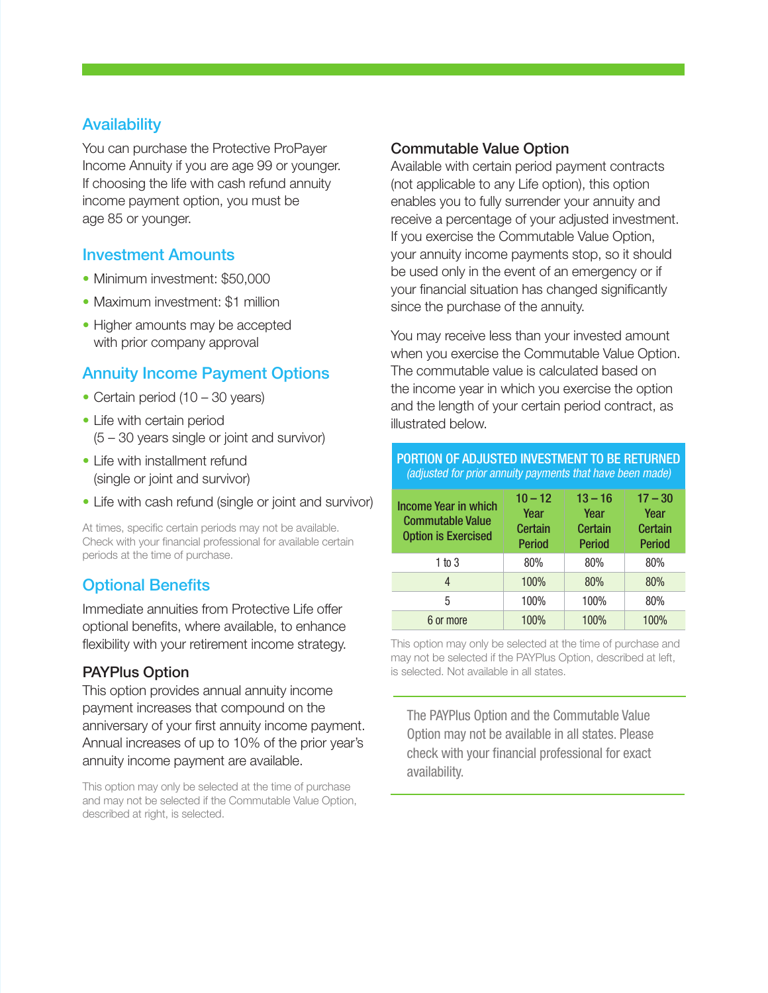#### **Availability**

You can purchase the Protective ProPayer Income Annuity if you are age 99 or younger. If choosing the life with cash refund annuity income payment option, you must be age 85 or younger.

#### Investment Amounts

- Minimum investment: \$50,000
- Maximum investment: \$1 million
- Higher amounts may be accepted with prior company approval

#### Annuity Income Payment Options

- Certain period (10 30 years)
- Life with certain period (5 – 30 years single or joint and survivor)
- Life with installment refund (single or joint and survivor)
- Life with cash refund (single or joint and survivor)

At times, specific certain periods may not be available. Check with your financial professional for available certain periods at the time of purchase.

### Optional Benefits

Immediate annuities from Protective Life offer optional benefits, where available, to enhance flexibility with your retirement income strategy.

#### PAYPlus Option

This option provides annual annuity income payment increases that compound on the anniversary of your first annuity income payment. Annual increases of up to 10% of the prior year's annuity income payment are available.

This option may only be selected at the time of purchase and may not be selected if the Commutable Value Option, described at right, is selected.

#### Commutable Value Option

Available with certain period payment contracts (not applicable to any Life option), this option enables you to fully surrender your annuity and receive a percentage of your adjusted investment. If you exercise the Commutable Value Option, your annuity income payments stop, so it should be used only in the event of an emergency or if your financial situation has changed significantly since the purchase of the annuity.

You may receive less than your invested amount when you exercise the Commutable Value Option. The commutable value is calculated based on the income year in which you exercise the option and the length of your certain period contract, as illustrated below.

| PORTION OF ADJUSTED INVESTMENT TO BE RETURNED<br>(adjusted for prior annuity payments that have been made) |                                               |                                               |                                               |
|------------------------------------------------------------------------------------------------------------|-----------------------------------------------|-----------------------------------------------|-----------------------------------------------|
| Income Year in which<br><b>Commutable Value</b><br><b>Option is Exercised</b>                              | $10 - 12$<br>Year<br>Certain<br><b>Period</b> | $13 - 16$<br>Year<br>Certain<br><b>Period</b> | $17 - 30$<br>Year<br>Certain<br><b>Period</b> |
| 1 to 3                                                                                                     | 80%                                           | 80%                                           | 80%                                           |
| 4                                                                                                          | 100%                                          | 80%                                           | 80%                                           |
| 5                                                                                                          | 100%                                          | 100%                                          | 80%                                           |
| 6 or more                                                                                                  | 100%                                          | 100%                                          | 100%                                          |

This option may only be selected at the time of purchase and may not be selected if the PAYPlus Option, described at left, is selected. Not available in all states.

The PAYPlus Option and the Commutable Value Option may not be available in all states. Please check with your financial professional for exact availability.